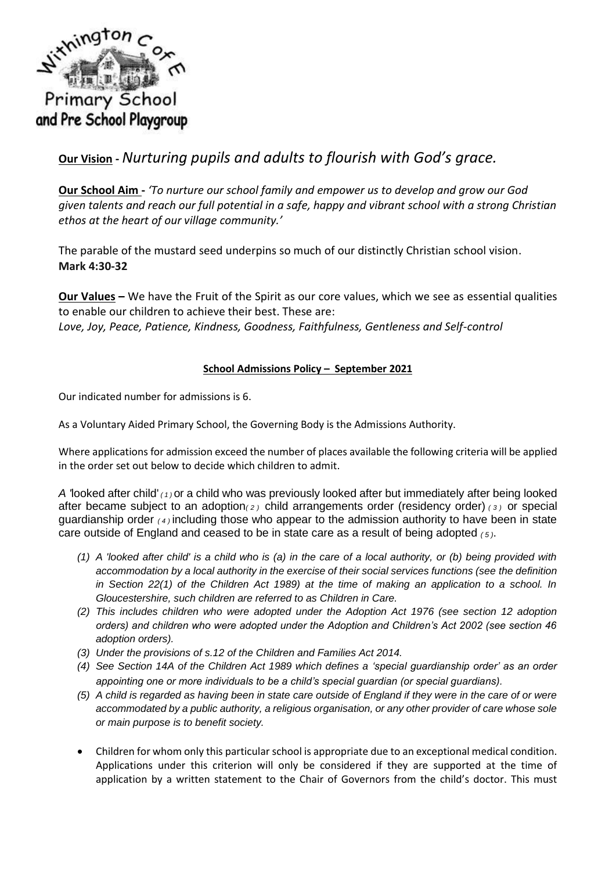

# **Our Vision -** *Nurturing pupils and adults to flourish with God's grace.*

**Our School Aim -** *'To nurture our school family and empower us to develop and grow our God given talents and reach our full potential in a safe, happy and vibrant school with a strong Christian ethos at the heart of our village community.'*

The parable of the mustard seed underpins so much of our distinctly Christian school vision. **Mark 4:30-32** 

**Our Values –** We have the Fruit of the Spirit as our core values, which we see as essential qualities to enable our children to achieve their best. These are: *Love, Joy, Peace, Patience, Kindness, Goodness, Faithfulness, Gentleness and Self-control*

## **School Admissions Policy – September 2021**

Our indicated number for admissions is 6.

As a Voluntary Aided Primary School, the Governing Body is the Admissions Authority.

Where applications for admission exceed the number of places available the following criteria will be applied in the order set out below to decide which children to admit.

*A '*looked after child' *( 1 )* or a child who was previously looked after but immediately after being looked after became subject to an adoption*( 2 )* child arrangements order (residency order) *( 3 )* or special guardianship order *( 4 )* including those who appear to the admission authority to have been in state care outside of England and ceased to be in state care as a result of being adopted *( 5 )*.

- *(1) A 'looked after child' is a child who is (a) in the care of a local authority, or (b) being provided with accommodation by a local authority in the exercise of their social services functions (see the definition in Section 22(1) of the Children Act 1989) at the time of making an application to a school. In Gloucestershire, such children are referred to as Children in Care.*
- *(2) This includes children who were adopted under the Adoption Act 1976 (see section 12 adoption orders) and children who were adopted under the Adoption and Children's Act 2002 (see section 46 adoption orders).*
- *(3) Under the provisions of s.12 of the Children and Families Act 2014.*
- *(4) See Section 14A of the Children Act 1989 which defines a 'special guardianship order' as an order appointing one or more individuals to be a child's special guardian (or special guardians).*
- *(5) A child is regarded as having been in state care outside of England if they were in the care of or were accommodated by a public authority, a religious organisation, or any other provider of care whose sole or main purpose is to benefit society.*
- Children for whom only this particular school is appropriate due to an exceptional medical condition. Applications under this criterion will only be considered if they are supported at the time of application by a written statement to the Chair of Governors from the child's doctor. This must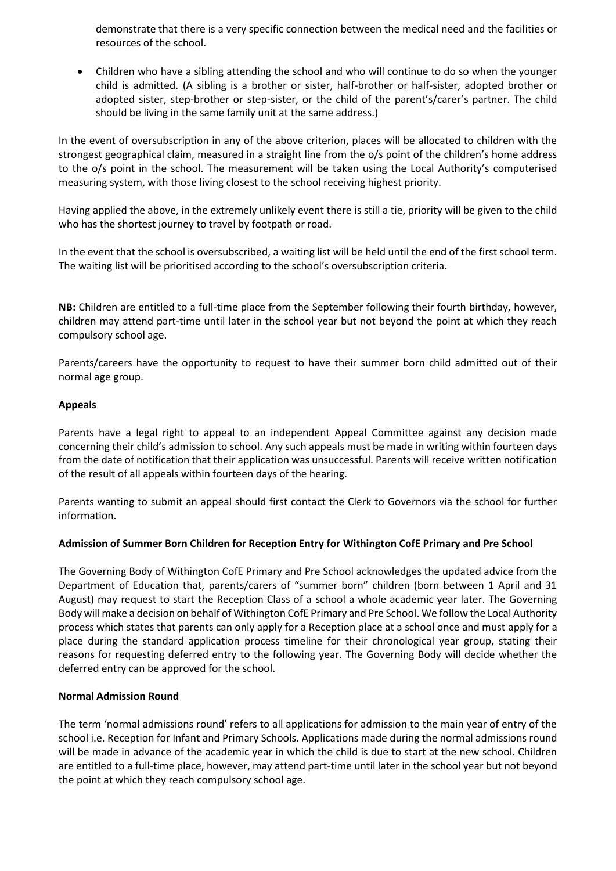demonstrate that there is a very specific connection between the medical need and the facilities or resources of the school.

 Children who have a sibling attending the school and who will continue to do so when the younger child is admitted. (A sibling is a brother or sister, half-brother or half-sister, adopted brother or adopted sister, step-brother or step-sister, or the child of the parent's/carer's partner. The child should be living in the same family unit at the same address.)

In the event of oversubscription in any of the above criterion, places will be allocated to children with the strongest geographical claim, measured in a straight line from the o/s point of the children's home address to the o/s point in the school. The measurement will be taken using the Local Authority's computerised measuring system, with those living closest to the school receiving highest priority.

Having applied the above, in the extremely unlikely event there is still a tie, priority will be given to the child who has the shortest journey to travel by footpath or road.

In the event that the school is oversubscribed, a waiting list will be held until the end of the first school term. The waiting list will be prioritised according to the school's oversubscription criteria.

**NB:** Children are entitled to a full-time place from the September following their fourth birthday, however, children may attend part-time until later in the school year but not beyond the point at which they reach compulsory school age.

Parents/careers have the opportunity to request to have their summer born child admitted out of their normal age group.

## **Appeals**

Parents have a legal right to appeal to an independent Appeal Committee against any decision made concerning their child's admission to school. Any such appeals must be made in writing within fourteen days from the date of notification that their application was unsuccessful. Parents will receive written notification of the result of all appeals within fourteen days of the hearing.

Parents wanting to submit an appeal should first contact the Clerk to Governors via the school for further information.

#### **Admission of Summer Born Children for Reception Entry for Withington CofE Primary and Pre School**

The Governing Body of Withington CofE Primary and Pre School acknowledges the updated advice from the Department of Education that, parents/carers of "summer born" children (born between 1 April and 31 August) may request to start the Reception Class of a school a whole academic year later. The Governing Body will make a decision on behalf of Withington CofE Primary and Pre School. We follow the Local Authority process which states that parents can only apply for a Reception place at a school once and must apply for a place during the standard application process timeline for their chronological year group, stating their reasons for requesting deferred entry to the following year. The Governing Body will decide whether the deferred entry can be approved for the school.

#### **Normal Admission Round**

The term 'normal admissions round' refers to all applications for admission to the main year of entry of the school i.e. Reception for Infant and Primary Schools. Applications made during the normal admissions round will be made in advance of the academic year in which the child is due to start at the new school. Children are entitled to a full-time place, however, may attend part-time until later in the school year but not beyond the point at which they reach compulsory school age.